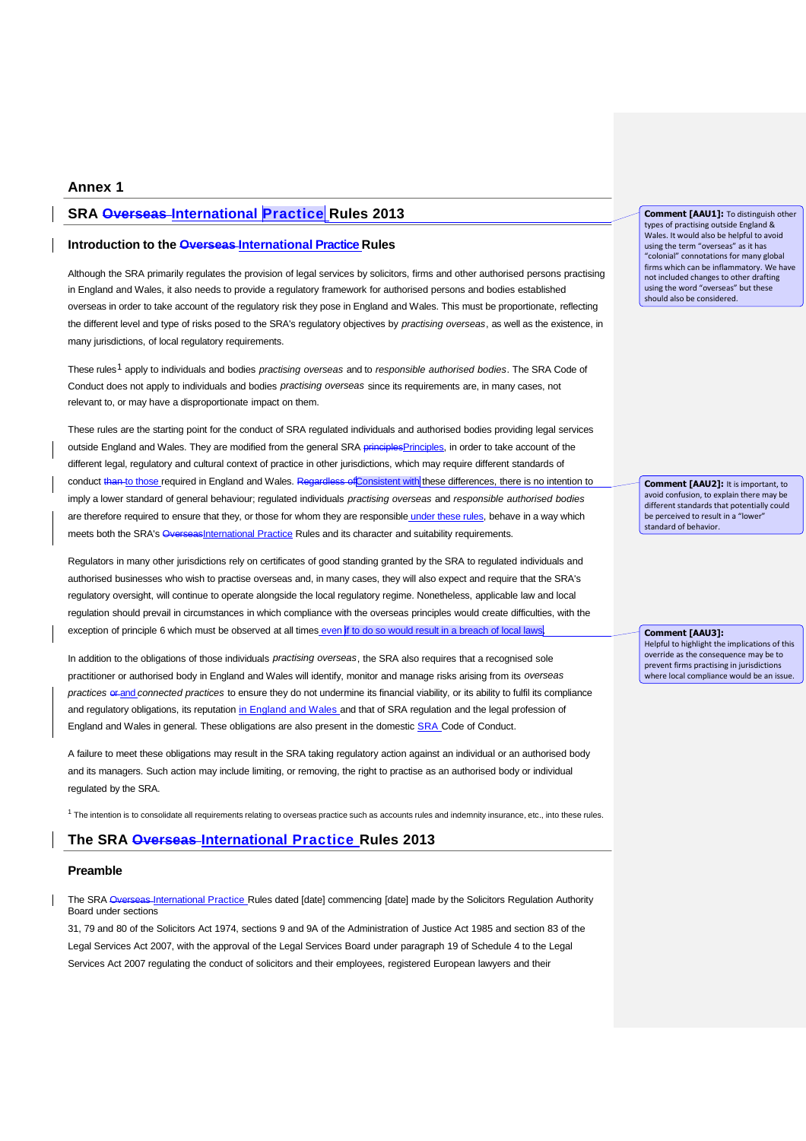# **Annex 1**

# **SRA Overseas International Practice Rules 2013**

# **Introduction to the Overseas International Practice Rules**

Although the SRA primarily regulates the provision of legal services by solicitors, firms and other authorised persons practising in England and Wales, it also needs to provide a regulatory framework for authorised persons and bodies established overseas in order to take account of the regulatory risk they pose in England and Wales. This must be proportionate, reflecting the different level and type of risks posed to the SRA's regulatory objectives by *practising overseas*, as well as the existence, in many jurisdictions, of local regulatory requirements.

These rules <sup>1</sup> apply to individuals and bodies *practising overseas* and to *responsible authorised bodies*. The SRA Code of Conduct does not apply to individuals and bodies *practising overseas* since its requirements are, in many cases, not relevant to, or may have a disproportionate impact on them.

These rules are the starting point for the conduct of SRA regulated individuals and authorised bodies providing legal services outside England and Wales. They are modified from the general SRA principlesPrinciples, in order to take account of the different legal, regulatory and cultural context of practice in other jurisdictions, which may require different standards of conduct than to those required in England and Wales. Regardless of Consistent with these differences, there is no intention to imply a lower standard of general behaviour; regulated individuals *practising overseas* and *responsible authorised bodies* are therefore required to ensure that they, or those for whom they are responsible under these rules, behave in a way which meets both the SRA's OverseasInternational Practice Rules and its character and suitability requirements.

Regulators in many other jurisdictions rely on certificates of good standing granted by the SRA to regulated individuals and authorised businesses who wish to practise overseas and, in many cases, they will also expect and require that the SRA's regulatory oversight, will continue to operate alongside the local regulatory regime. Nonetheless, applicable law and local regulation should prevail in circumstances in which compliance with the overseas principles would create difficulties, with the exception of principle 6 which must be observed at all times even if to do so would result in a breach of local laws

In addition to the obligations of those individuals *practising overseas*, the SRA also requires that a recognised sole practitioner or authorised body in England and Wales will identify, monitor and manage risks arising from its *overseas practices*  $er_{and}$  *connected practices* to ensure they do not undermine its financial viability, or its ability to fulfil its compliance and regulatory obligations, its reputation in England and Wales and that of SRA regulation and the legal profession of England and Wales in general. These obligations are also present in the domestic SRA Code of Conduct.

A failure to meet these obligations may result in the SRA taking regulatory action against an individual or an authorised body and its managers. Such action may include limiting, or removing, the right to practise as an authorised body or individual regulated by the SRA.

 $1$  The intention is to consolidate all requirements relating to overseas practice such as accounts rules and indemnity insurance, etc., into these rules.

# **The SRA Overseas International Practice Rules 2013**

### **Preamble**

The SRA Overseas-International Practice Rules dated [date] commencing [date] made by the Solicitors Regulation Authority Board under sections

31, 79 and 80 of the Solicitors Act 1974, sections 9 and 9A of the Administration of Justice Act 1985 and section 83 of the Legal Services Act 2007, with the approval of the Legal Services Board under paragraph 19 of Schedule 4 to the Legal Services Act 2007 regulating the conduct of solicitors and their employees, registered European lawyers and their

**Comment [AAU1]:** To distinguish other types of practising outside England & Wales. It would also be helpful to avoid using the term "overseas" as it has "colonial" connotations for many global firms which can be inflammatory. We have not included changes to other drafting using the word "overseas" but these should also be considered.

**Comment [AAU2]:** It is important, to avoid confusion, to explain there may be different standards that potentially could be perceived to result in a "lower" standard of behavior.

**Comment [AAU3]:**  Helpful to highlight the implications of this override as the consequence may be to prevent firms practising in jurisdictions where local compliance would be an issue.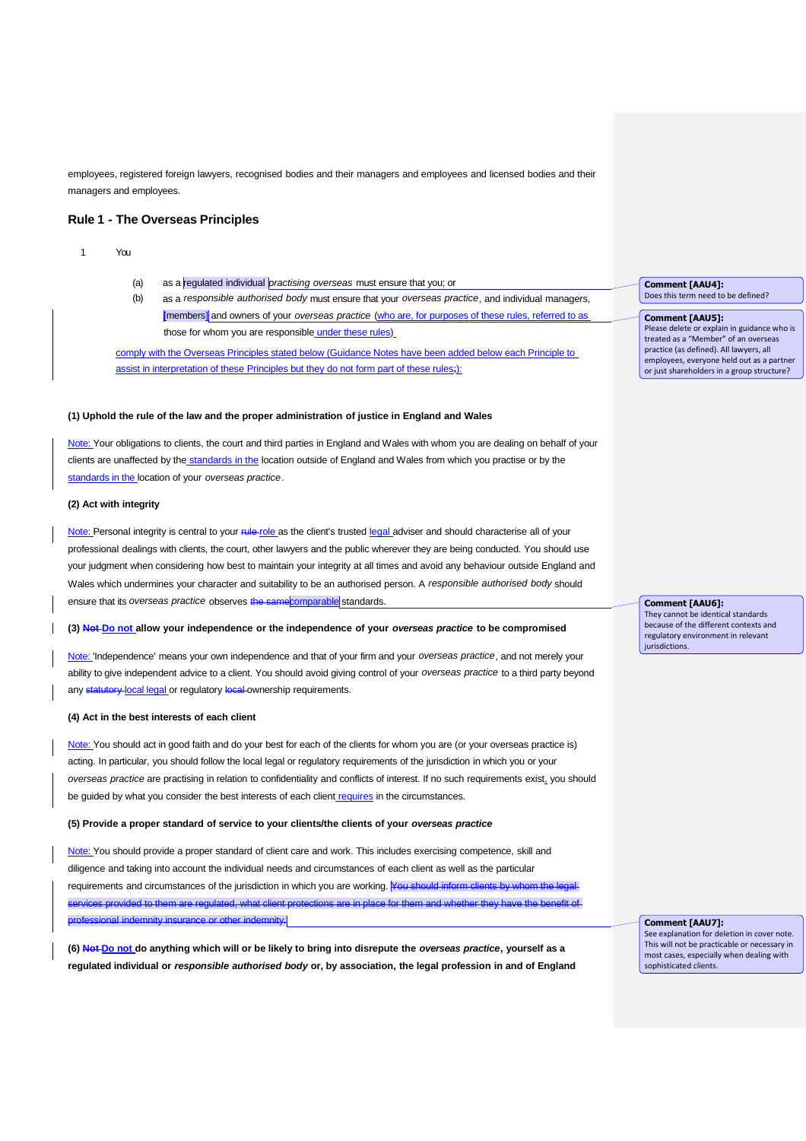employees, registered foreign lawyers, recognised bodies and their managers and employees and licensed bodies and their managers and employees.

### **Rule 1 - The Overseas Principles**

#### 1 You

- (a) as a regulated individual *practising overseas* must ensure that you; or
- (b) as a *responsible authorised body* must ensure that your *overseas practice*, and individual managers, [members] and owners of your *overseas practice* (who are, for purposes of these rules, referred to as those for whom you are responsible under these rules)

comply with the Overseas Principles stated below (Guidance Notes have been added below each Principle to assist in interpretation of these Principles but they do not form part of these rules;):

#### **(1) Uphold the rule of the law and the proper administration of justice in England and Wales**

Note: Your obligations to clients, the court and third parties in England and Wales with whom you are dealing on behalf of your clients are unaffected by the standards in the location outside of England and Wales from which you practise or by the standards in the location of your *overseas practice*.

#### **(2) Act with integrity**

Note: Personal integrity is central to your rule role as the client's trusted legal adviser and should characterise all of your professional dealings with clients, the court, other lawyers and the public wherever they are being conducted. You should use your judgment when considering how best to maintain your integrity at all times and avoid any behaviour outside England and Wales which undermines your character and suitability to be an authorised person. A *responsible authorised body* should ensure that its *overseas practice* observes the same comparable standards.

### **(3) Not Do not allow your independence or the independence of your** *overseas practice* **to be compromised**

Note: 'Independence' means your own independence and that of your firm and your *overseas practice*, and not merely your ability to give independent advice to a client. You should avoid giving control of your *overseas practice* to a third party beyond any statutory local legal or regulatory local ownership requirements.

### **(4) Act in the best interests of each client**

Note: You should act in good faith and do your best for each of the clients for whom you are (or your overseas practice is) acting. In particular, you should follow the local legal or regulatory requirements of the jurisdiction in which you or your *overseas practice* are practising in relation to confidentiality and conflicts of interest. If no such requirements exist, you should be guided by what you consider the best interests of each client requires in the circumstances.

#### **(5) Provide a proper standard of service to your clients/the clients of your** *overseas practice*

Note: You should provide a proper standard of client care and work. This includes exercising competence, skill and diligence and taking into account the individual needs and circumstances of each client as well as the particular requirements and circumstances of the jurisdiction in which you are working. You should inform clievided to them are regul **p** or other indemnity.

**(6) Not Do not do anything which will or be likely to bring into disrepute the** *overseas practice***, yourself as a regulated individual or** *responsible authorised body* **or, by association, the legal profession in and of England**

**Comment [AAU4]:**  Does this term need to be defined?

#### **Comment [AAU5]:**  Please delete or explain in guidance who is

treated as a "Member" of an overseas practice (as defined). All lawyers, all employees, everyone held out as a partner or just shareholders in a group structure?

**Comment [AAU6]:**  They cannot be identical standards because of the different contexts and regulatory environment in relevant jurisdictions.

**Comment [AAU7]:** 

See explanation for deletion in cover note. This will not be practicable or necessary in most cases, especially when dealing with sophisticated clients.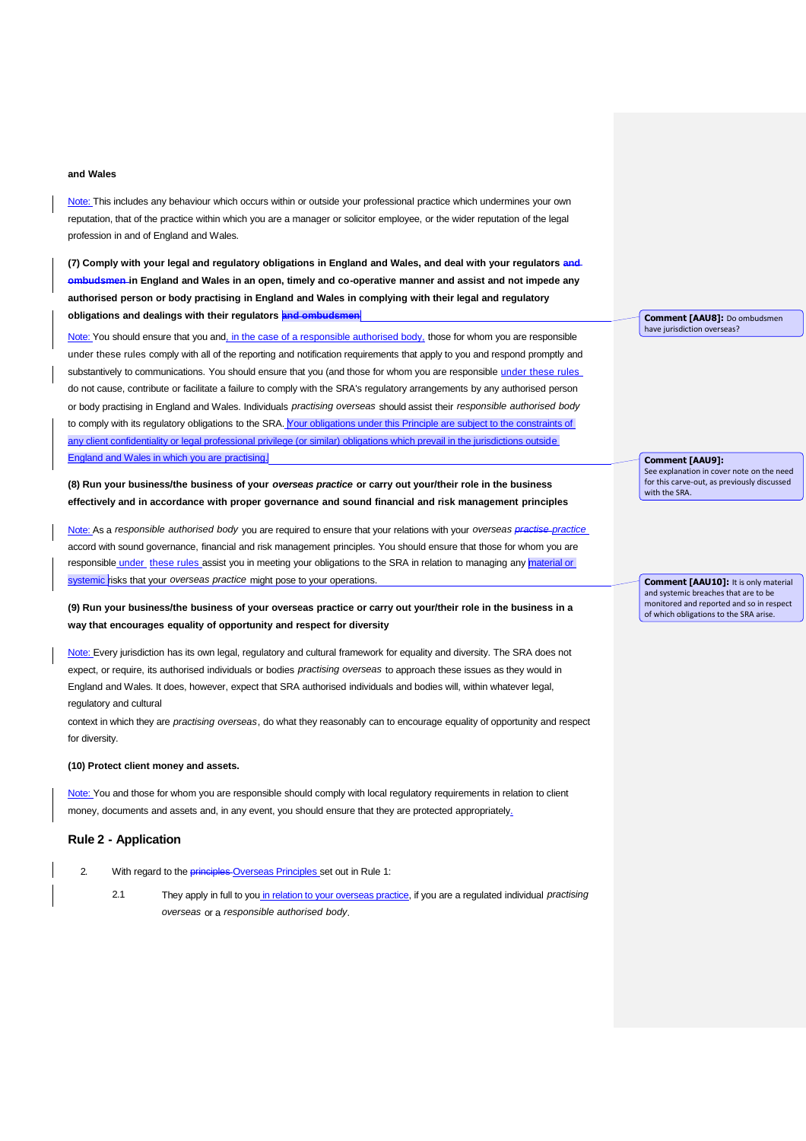#### **and Wales**

Note: This includes any behaviour which occurs within or outside your professional practice which undermines your own reputation, that of the practice within which you are a manager or solicitor employee, or the wider reputation of the legal profession in and of England and Wales.

(7) Comply with your legal and regulatory obligations in England and Wales, and deal with your regulators and ombudsmen in England and Wales in an open, timely and co-operative manner and assist and not impede any **authorised person or body practising in England and Wales in complying with their legal and regulatory obligations and dealings with their regulators and ombudsmen**

Note: You should ensure that you and, in the case of a responsible authorised body, those for whom you are responsible under these rules comply with all of the reporting and notification requirements that apply to you and respond promptly and substantively to communications. You should ensure that you (and those for whom you are responsible under these rules do not cause, contribute or facilitate a failure to comply with the SRA's regulatory arrangements by any authorised person or body practising in England and Wales. Individuals *practising overseas* should assist their *responsible authorised body* to comply with its regulatory obligations to the SRA. Your obligations under this Principle are subject to the constraints of any client confidentiality or legal professional privilege (or similar) obligations which prevail in the jurisdictions outside England and Wales in which you are practising.

**(8) Run your business/the business of your** *overseas practice* **or carry out your/their role in the business effectively and in accordance with proper governance and sound financial and risk management principles**

Note: As a *responsible authorised body* you are required to ensure that your relations with your *overseas practise practice* accord with sound governance, financial and risk management principles. You should ensure that those for whom you are responsible under these rules assist you in meeting your obligations to the SRA in relation to managing any material or systemic risks that your *overseas practice* might pose to your operations.

(9) Run your business/the business of your overseas practice or carry out your/their role in the business in a **way that encourages equality of opportunity and respect for diversity**

Note: Every jurisdiction has its own legal, regulatory and cultural framework for equality and diversity. The SRA does not expect, or require, its authorised individuals or bodies *practising overseas* to approach these issues as they would in England and Wales. It does, however, expect that SRA authorised individuals and bodies will, within whatever legal, regulatory and cultural

context in which they are *practising overseas*, do what they reasonably can to encourage equality of opportunity and respect for diversity.

#### **(10) Protect client money and assets.**

Note: You and those for whom you are responsible should comply with local regulatory requirements in relation to client money, documents and assets and, in any event, you should ensure that they are protected appropriately.

## **Rule 2 - Application**

- 2. With regard to the **principles** Overseas Principles set out in Rule 1:
	- 2.1 They apply in full to you in relation to your overseas practice, if you are a regulated individual *practising overseas* or a *responsible authorised body*.

**Comment [AAU8]:** Do ombudsmen have jurisdiction overseas?

**Comment [AAU9]:** 

with the SRA

**Comment [AAU10]:** It is only material and systemic breaches that are to be monitored and reported and so in respect

of which obligations to the SRA arise.

See explanation in cover note on the need for this carve-out, as previously discussed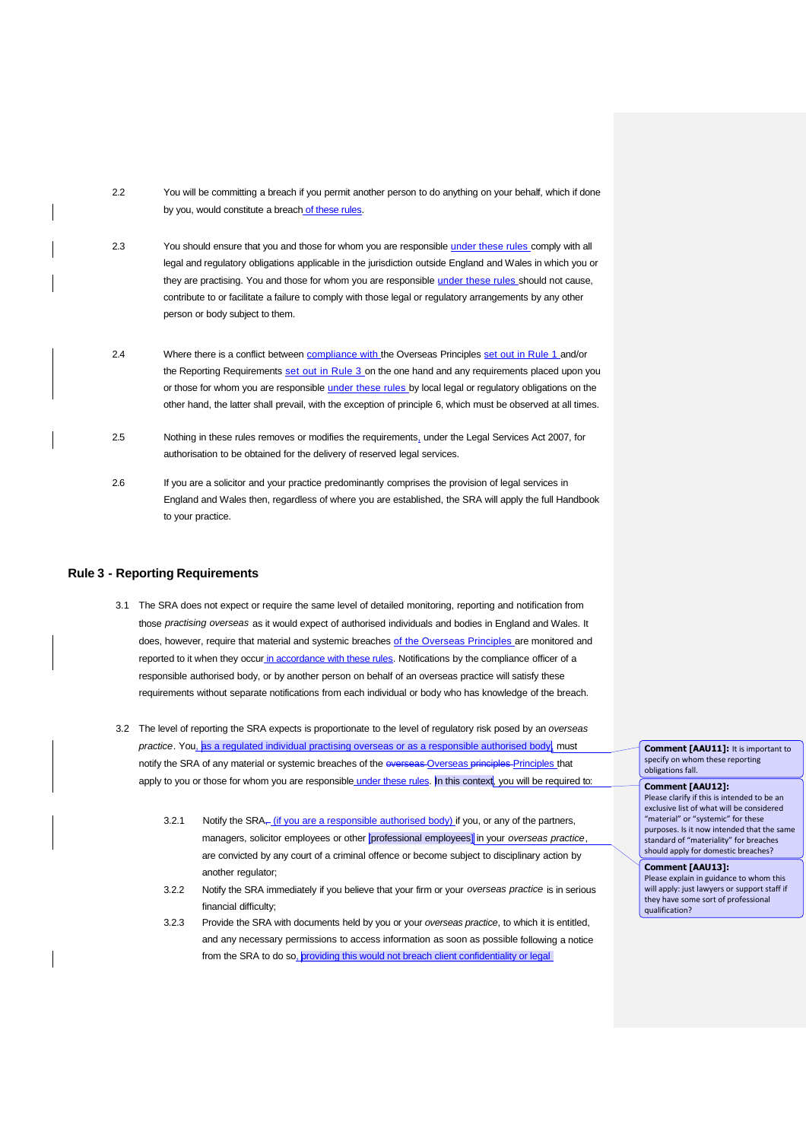2.2 You will be committing a breach if you permit another person to do anything on your behalf, which if done by you, would constitute a breach of these rules.

- 2.3 You should ensure that you and those for whom you are responsible under these rules comply with all legal and regulatory obligations applicable in the jurisdiction outside England and Wales in which you or they are practising. You and those for whom you are responsible *under these rules* should not cause, contribute to or facilitate a failure to comply with those legal or regulatory arrangements by any other person or body subject to them.
- 2.4 Where there is a conflict between compliance with the Overseas Principles set out in Rule 1 and/or the Reporting Requirements set out in Rule 3 on the one hand and any requirements placed upon you or those for whom you are responsible under these rules by local legal or regulatory obligations on the other hand, the latter shall prevail, with the exception of principle 6, which must be observed at all times.
- 2.5 Nothing in these rules removes or modifies the requirements, under the Legal Services Act 2007, for authorisation to be obtained for the delivery of reserved legal services.
- 2.6 If you are a solicitor and your practice predominantly comprises the provision of legal services in England and Wales then, regardless of where you are established, the SRA will apply the full Handbook to your practice.

### **Rule 3 - Reporting Requirements**

- 3.1 The SRA does not expect or require the same level of detailed monitoring, reporting and notification from those *practising overseas* as it would expect of authorised individuals and bodies in England and Wales. It does, however, require that material and systemic breaches of the Overseas Principles are monitored and reported to it when they occur in accordance with these rules. Notifications by the compliance officer of a responsible authorised body, or by another person on behalf of an overseas practice will satisfy these requirements without separate notifications from each individual or body who has knowledge of the breach.
- 3.2 The level of reporting the SRA expects is proportionate to the level of regulatory risk posed by an *overseas* practice. You, as a regulated individual practising overseas or as a responsible authorised body, must notify the SRA of any material or systemic breaches of the overseas Overseas principles Principles that apply to you or those for whom you are responsible under these rules. In this context, you will be required to:
	- 3.2.1 Notify the  $SRA_{\tau}$  (if you are a responsible authorised body) if you, or any of the partners, managers, solicitor employees or other [professional employees] in your *overseas practice*, are convicted by any court of a criminal offence or become subject to disciplinary action by another regulator:
	- 3.2.2 Notify the SRA immediately if you believe that your firm or your *overseas practice* is in serious financial difficulty;
	- 3.2.3 Provide the SRA with documents held by you or your *overseas practice*, to which it is entitled, and any necessary permissions to access information as soon as possible following a notice from the SRA to do so, providing this would not breach client confidentiality or legal

**Comment [AAU11]:** It is important to specify on whom these reporting obligations fall.

**Comment [AAU12]:** 

Please clarify if this is intended to be an exclusive list of what will be considered "material" or "systemic" for these purposes. Is it now intended that the same standard of "materiality" for breaches should apply for domestic breaches?

**Comment [AAU13]:**  Please explain in guidance to whom this will apply: just lawyers or support staff if they have some sort of professional qualification?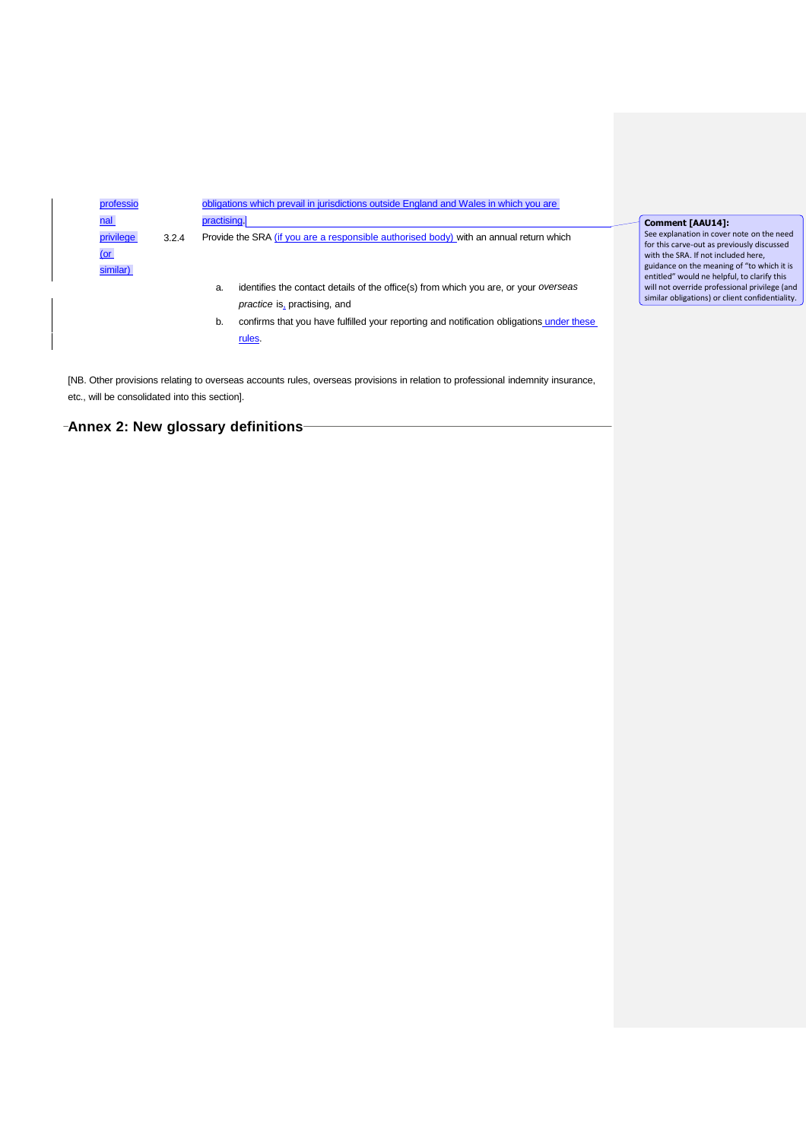

[NB. Other provisions relating to overseas accounts rules, overseas provisions in relation to professional indemnity insurance, etc., will be consolidated into this section].

**Annex 2: New glossary definitions**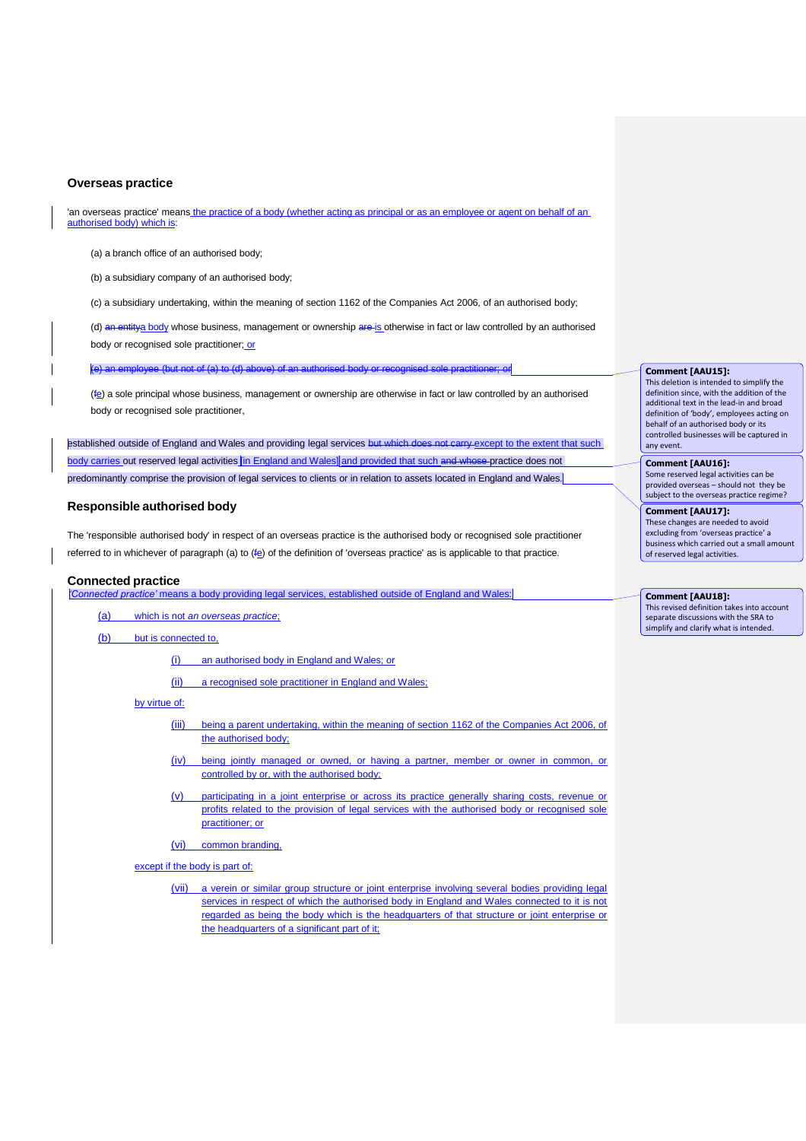### **Overseas practice**

'an overseas practice' means the practice of a body (whether acting as principal or as an employee or agent on behalf of an authorised body) which is:

(a) a branch office of an authorised body;

(b) a subsidiary company of an authorised body;

(c) a subsidiary undertaking, within the meaning of section 1162 of the Companies Act 2006, of an authorised body;

(d) an entitya body whose business, management or ownership are is otherwise in fact or law controlled by an authorised body or recognised sole practitioner; or

e (but not of (a) to (d) above) of an au

(fe) a sole principal whose business, management or ownership are otherwise in fact or law controlled by an authorised body or recognised sole practitioner,

established outside of England and Wales and providing legal services but which does not carry except to the extent that such body carries out reserved legal activities *in England and Wales* and provided that such and whose practice does not predominantly comprise the provision of legal services to clients or in relation to assets located in England and Wales.

## **Responsible authorised body**

The 'responsible authorised body' in respect of an overseas practice is the authorised body or recognised sole practitioner referred to in whichever of paragraph (a) to  $(F<sub>e</sub>)$  of the definition of 'overseas practice' as is applicable to that practice.

#### **Connected practice**

*'Connected practice'* means a body providing legal services, established outside of England and Wales:

(a) which is not *an overseas practice*;

(b) but is connected to,

(i) an authorised body in England and Wales; or

(ii) a recognised sole practitioner in England and Wales;

by virtue of:

- (iii) being a parent undertaking, within the meaning of section 1162 of the Companies Act 2006, of the authorised body;
- (iv) being jointly managed or owned, or having a partner, member or owner in common, or controlled by or, with the authorised body;
- (v) participating in a joint enterprise or across its practice generally sharing costs, revenue or profits related to the provision of legal services with the authorised body or recognised sole practitioner; or
- (vi) common branding,

except if the body is part of:

(vii) a verein or similar group structure or joint enterprise involving several bodies providing legal services in respect of which the authorised body in England and Wales connected to it is not regarded as being the body which is the headquarters of that structure or joint enterprise or the headquarters of a significant part of it;

**Comment [AAU15]:**  This deletion is intended to simplify the definition since, with the addition of the additional text in the lead-in and broad definition of 'body', employees acting on behalf of an authorised body or its controlled businesses will be captured in

**Comment [AAU16]:**  Some reserved legal activities can be provided overseas – should not they be subject to the overseas practice regime?

any event.

**Comment [AAU17]:**  These changes are needed to avoid excluding from 'overseas practice' a business which carried out a small amount of reserved legal activities.

**Comment [AAU18]:**  This revised definition takes into account separate discussions with the SRA to simplify and clarify what is intended.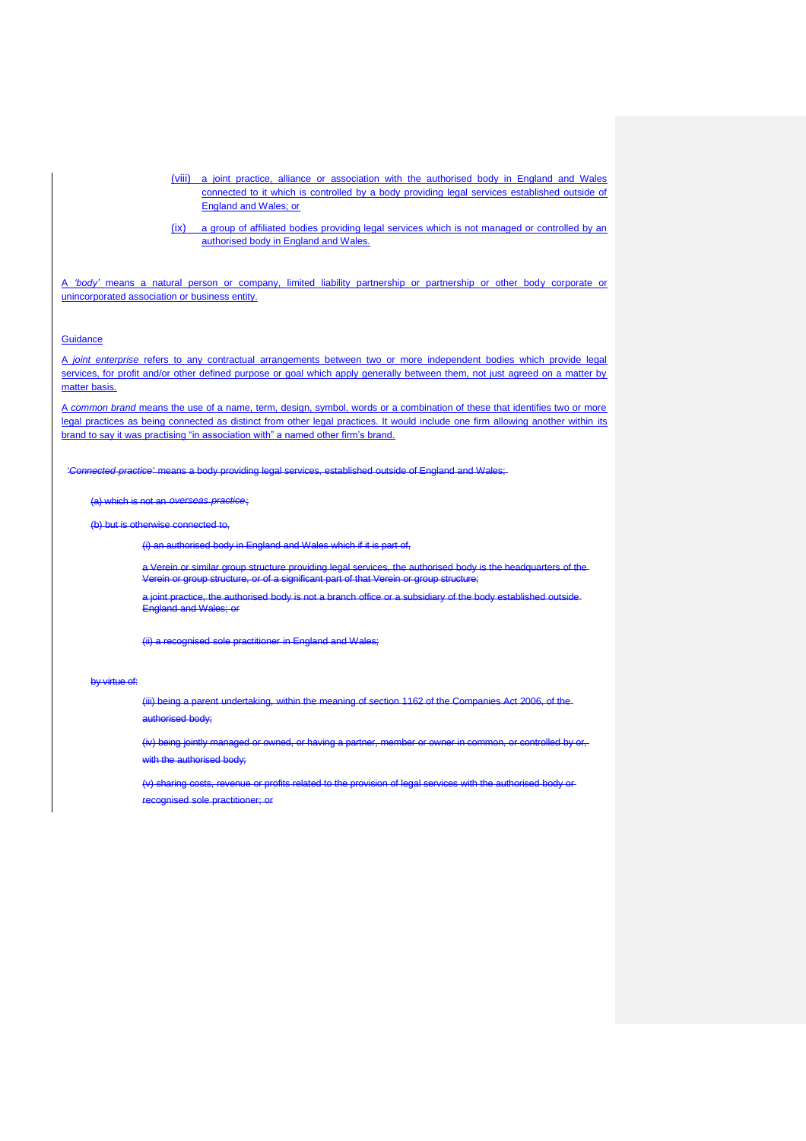(viii) a joint practice, alliance or association with the authorised body in England and Wales connected to it which is controlled by a body providing legal services established outside of England and Wales; or

(ix) a group of affiliated bodies providing legal services which is not managed or controlled by an authorised body in England and Wales.

A *'body'* means a natural person or company, limited liability partnership or partnership or other body corporate or unincorporated association or business entity.

### **Guidance**

A *joint enterprise* refers to any contractual arrangements between two or more independent bodies which provide legal services, for profit and/or other defined purpose or goal which apply generally between them, not just agreed on a matter by matter basis.

A *common brand* means the use of a name, term, design, symbol, words or a combination of these that identifies two or more legal practices as being connected as distinct from other legal practices. It would include one firm allowing another within its brand to say it was practising "in association with" a named other firm's brand.

'*Connected practice*' means a body providing legal services, established outside of England and Wales;

(a) which is not an *overseas practice*;

(b) but is otherwise connected to,

 $(i)$  an authorised body in England and Wales which if it is part

a Verein or similar group structure providing legal services, the authorised body<br>Verein or group structure, or of a significant part of that Verein or group structure Verein or group structure, or of a significant part of that Verein or group structure;

a joint practice, the authorised body is not a branch office or a subsidiary of the body established outside England and Wales; or

(ii) a recognised sole practitioner in England and Wales;

#### by virtue of:

(iii) being a parent undertaking, within the meaning of section 1162 of the Companies Act 2006, of the authorised body;

(iv) being jointly managed or owned, or having a partner, member or owner in common, or controlled by with the authorised body;

(v) sharing costs, revenue or profits related to the provision of legal services with the authorised body or recognised sole practitioner; or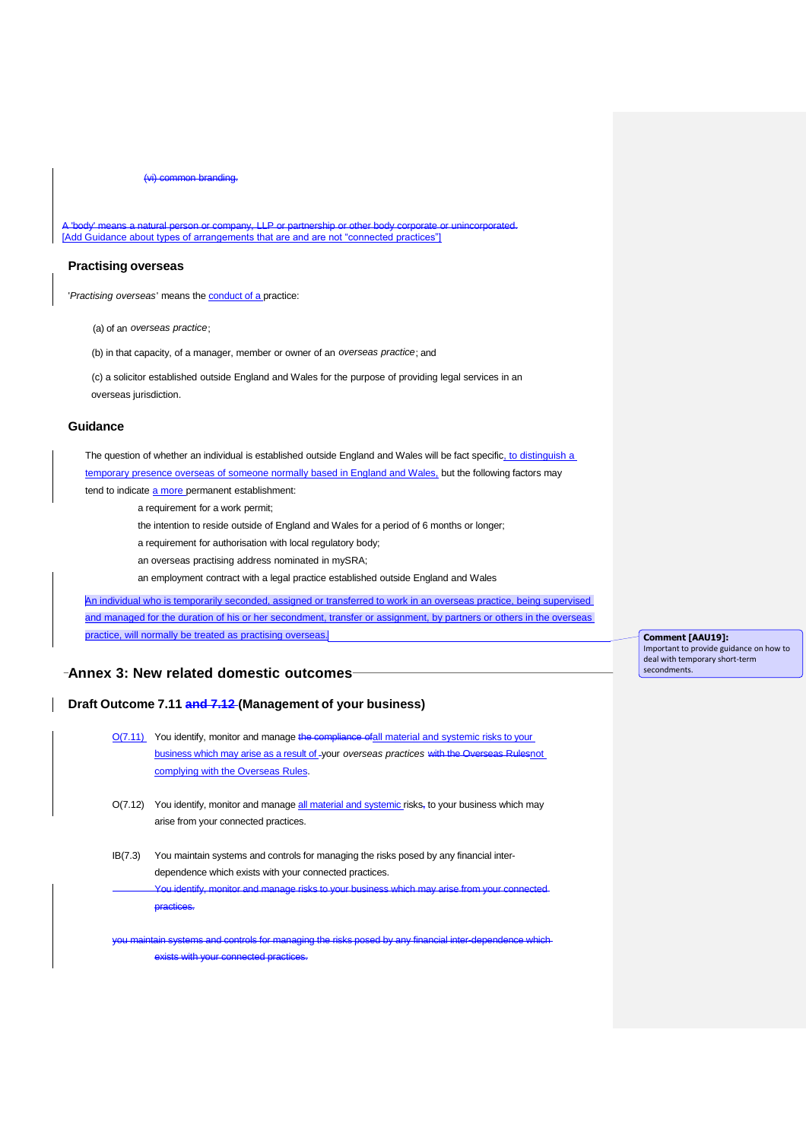(vi) common branding.

 $\ell$  means a natural person or company, LLP or partnership or other body corporate or unincorporated. [Add Guidance about types of arrangements that are and are not "connected practices"]

### **Practising overseas**

'*Practising overseas*' means the conduct of a practice:

(a) of an *overseas practice*;

(b) in that capacity, of a manager, member or owner of an *overseas practice*; and

(c) a solicitor established outside England and Wales for the purpose of providing legal services in an overseas jurisdiction.

### **Guidance**

The question of whether an individual is established outside England and Wales will be fact specific, to distinguish a temporary presence overseas of someone normally based in England and Wales, but the following factors may tend to indicate a more permanent establishment:

a requirement for a work permit;

the intention to reside outside of England and Wales for a period of 6 months or longer;

- a requirement for authorisation with local regulatory body;
- an overseas practising address nominated in mySRA;

an employment contract with a legal practice established outside England and Wales

An individual who is temporarily seconded, assigned or transferred to work in an overseas practice, being supervised and managed for the duration of his or her secondment, transfer or assignment, by partners or others in the overseas practice, will normally be treated as practising overseas.

**Annex 3: New related domestic outcomes**

# **Draft Outcome 7.11 and 7.12 (Management of your business)**

O(7.11) You identify, monitor and manage the compliance ofall material and systemic risks to your business which may arise as a result of your *overseas practices* with the Overseas Rulesnot complying with the Overseas Rules.

- O(7.12) You identify, monitor and manage all material and systemic risks, to your business which may arise from your connected practices.
- IB(7.3) You maintain systems and controls for managing the risks posed by any financial interdependence which exists with your connected practices. identify, monitor and manage risks to your business which may arise from your connected

practices.

you maintain systems and controls for managing the risks posed by any financial inter-dependence which exists with your connected practices

**Comment [AAU19]:**  Important to provide guidance on how to deal with temporary short-term secondments.